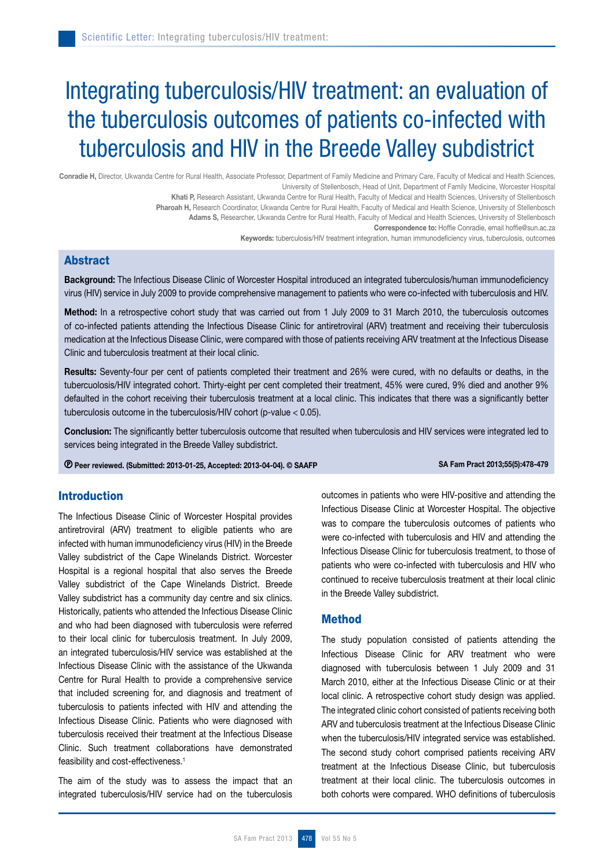# Integrating tuberculosis/HIV treatment: an evaluation of the tuberculosis outcomes of patients co-infected with tuberculosis and HIV in the Breede Valley subdistrict

Conradie H, Director, Ukwanda Centre for Rural Health, Associate Professor, Department of Family Medicine and Primary Care, Faculty of Medical and Health Sciences, University of Stellenbosch, Head of Unit, Department of Family Medicine, Worcester Hospital

Khati P, Research Assistant, Ukwanda Centre for Rural Health, Faculty of Medical and Health Sciences, University of Stellenbosch

Pharoah H, Research Coordinator, Ukwanda Centre for Rural Health, Faculty of Medical and Health Science, University of Stellenbosch

Adams S, Researcher, Ukwanda Centre for Rural Health, Faculty of Medical and Health Sciences, University of Stellenbosch Correspondence to: Hoffie Conradie, email hoffie@sun.ac.za

Keywords: tuberculosis/HIV treatment integration, human immunodeficiency virus, tuberculosis, outcomes

## Abstract

Background: The Infectious Disease Clinic of Worcester Hospital introduced an integrated tuberculosis/human immunodeficiency virus (HIV) service in July 2009 to provide comprehensive management to patients who were co-infected with tuberculosis and HIV.

Method: In a retrospective cohort study that was carried out from 1 July 2009 to 31 March 2010, the tuberculosis outcomes of co-infected patients attending the Infectious Disease Clinic for antiretroviral (ARV) treatment and receiving their tuberculosis medication at the Infectious Disease Clinic, were compared with those of patients receiving ARV treatment at the Infectious Disease Clinic and tuberculosis treatment at their local clinic.

Results: Seventy-four per cent of patients completed their treatment and 26% were cured, with no defaults or deaths, in the tubercuolosis/HIV integrated cohort. Thirty-eight per cent completed their treatment, 45% were cured, 9% died and another 9% defaulted in the cohort receiving their tuberculosis treatment at a local clinic. This indicates that there was a significantly better tuberculosis outcome in the tuberculosis/HIV cohort (p-value < 0.05).

Conclusion: The significantly better tuberculosis outcome that resulted when tuberculosis and HIV services were integrated led to services being integrated in the Breede Valley subdistrict.

© Peer reviewed. (Submitted: 2013-01-25, Accepted: 2013-04-04). © SAAFP SA Fam Pract 2013;55(5):478-479

# Introduction

The Infectious Disease Clinic of Worcester Hospital provides antiretroviral (ARV) treatment to eligible patients who are infected with human immunodeficiency virus (HIV) in the Breede Valley subdistrict of the Cape Winelands District. Worcester Hospital is a regional hospital that also serves the Breede Valley subdistrict of the Cape Winelands District. Breede Valley subdistrict has a community day centre and six clinics. Historically, patients who attended the Infectious Disease Clinic and who had been diagnosed with tuberculosis were referred to their local clinic for tuberculosis treatment. In July 2009, an integrated tuberculosis/HIV service was established at the Infectious Disease Clinic with the assistance of the Ukwanda Centre for Rural Health to provide a comprehensive service that included screening for, and diagnosis and treatment of tuberculosis to patients infected with HIV and attending the Infectious Disease Clinic. Patients who were diagnosed with tuberculosis received their treatment at the Infectious Disease Clinic. Such treatment collaborations have demonstrated feasibility and cost-effectiveness.1

The aim of the study was to assess the impact that an integrated tuberculosis/HIV service had on the tuberculosis

outcomes in patients who were HIV-positive and attending the Infectious Disease Clinic at Worcester Hospital. The objective was to compare the tuberculosis outcomes of patients who were co-infected with tuberculosis and HIV and attending the Infectious Disease Clinic for tuberculosis treatment, to those of patients who were co-infected with tuberculosis and HIV who continued to receive tuberculosis treatment at their local clinic in the Breede Valley subdistrict.

## Method

The study population consisted of patients attending the Infectious Disease Clinic for ARV treatment who were diagnosed with tuberculosis between 1 July 2009 and 31 March 2010, either at the Infectious Disease Clinic or at their local clinic. A retrospective cohort study design was applied. The integrated clinic cohort consisted of patients receiving both ARV and tuberculosis treatment at the Infectious Disease Clinic when the tuberculosis/HIV integrated service was established. The second study cohort comprised patients receiving ARV treatment at the Infectious Disease Clinic, but tuberculosis treatment at their local clinic. The tuberculosis outcomes in both cohorts were compared. WHO definitions of tuberculosis